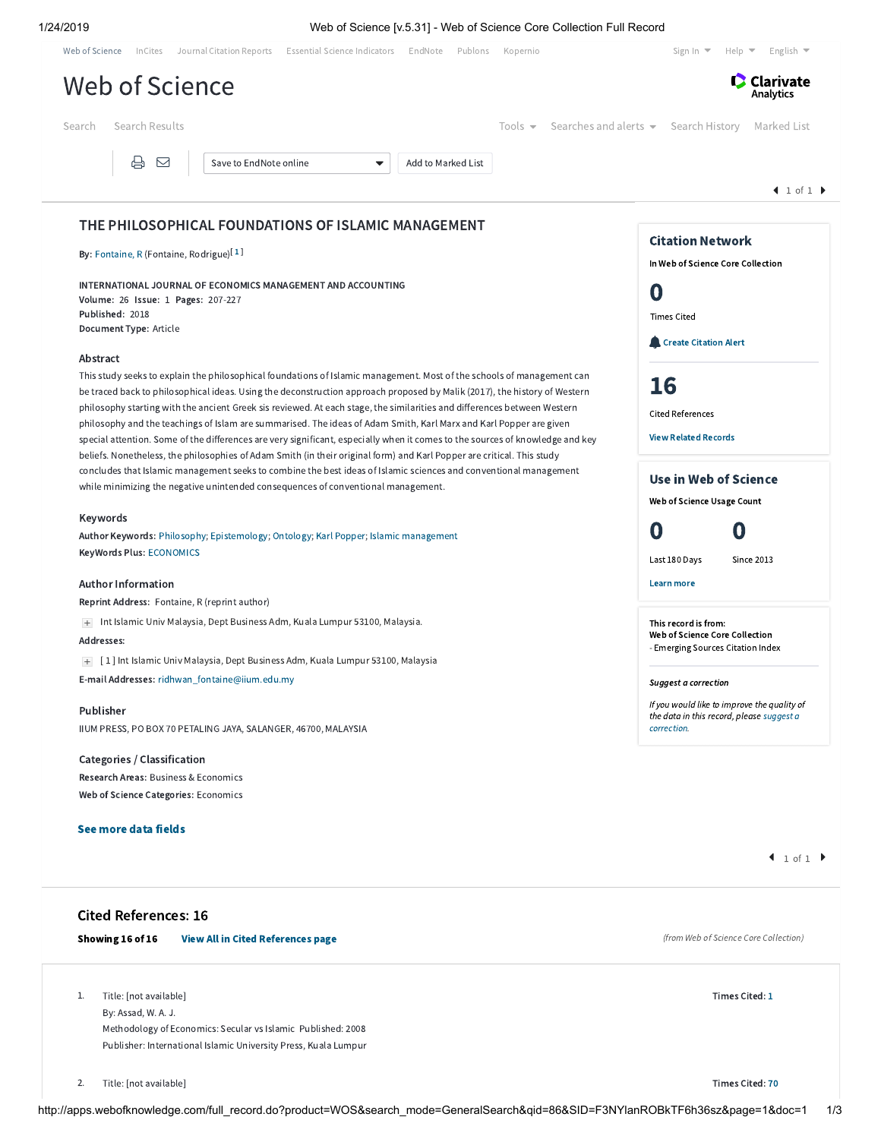1/24/2019 Web of Science [v.5.31] - Web of Science Core Collection Full Record

| Web of Science InCites Journal Citation Reports Essential Science Indicators EndNote Publons<br>Kopernio                                                                                                                                                                                                                                                                                                                                                                                                                                                                                                                                                                                                                                                                     | Help $\blacktriangleright$ English $\blacktriangleright$<br>Sign In $\blacktriangledown$                |
|------------------------------------------------------------------------------------------------------------------------------------------------------------------------------------------------------------------------------------------------------------------------------------------------------------------------------------------------------------------------------------------------------------------------------------------------------------------------------------------------------------------------------------------------------------------------------------------------------------------------------------------------------------------------------------------------------------------------------------------------------------------------------|---------------------------------------------------------------------------------------------------------|
| Web of Science                                                                                                                                                                                                                                                                                                                                                                                                                                                                                                                                                                                                                                                                                                                                                               | <b>C</b> Clarivate<br>Analytics                                                                         |
| Search Results<br>Tools $\blacktriangleright$<br>Search                                                                                                                                                                                                                                                                                                                                                                                                                                                                                                                                                                                                                                                                                                                      | Searches and alerts $\bullet$ Search History<br>Marked List                                             |
| ₿<br>⊠<br>Save to EndNote online<br>Add to Marked List<br>$\overline{\phantom{a}}$                                                                                                                                                                                                                                                                                                                                                                                                                                                                                                                                                                                                                                                                                           | $\blacksquare$ 1 of 1 $\blacktriangleright$                                                             |
|                                                                                                                                                                                                                                                                                                                                                                                                                                                                                                                                                                                                                                                                                                                                                                              |                                                                                                         |
| THE PHILOSOPHICAL FOUNDATIONS OF ISLAMIC MANAGEMENT<br>By: Fontaine, R (Fontaine, Rodrigue) <sup>[1]</sup>                                                                                                                                                                                                                                                                                                                                                                                                                                                                                                                                                                                                                                                                   | <b>Citation Network</b><br>In Web of Science Core Collection                                            |
| INTERNATIONAL JOURNAL OF ECONOMICS MANAGEMENT AND ACCOUNTING<br>Volume: 26 Issue: 1 Pages: 207-227                                                                                                                                                                                                                                                                                                                                                                                                                                                                                                                                                                                                                                                                           | O                                                                                                       |
| Published: 2018<br>Document Type: Article                                                                                                                                                                                                                                                                                                                                                                                                                                                                                                                                                                                                                                                                                                                                    | <b>Times Cited</b><br><b>Create Citation Alert</b>                                                      |
| Abstract<br>This study seeks to explain the philosophical foundations of Islamic management. Most of the schools of management can<br>be traced back to philosophical ideas. Using the deconstruction approach proposed by Malik (2017), the history of Western<br>philosophy starting with the ancient Greek sis reviewed. At each stage, the similarities and differences between Western<br>philosophy and the teachings of Islam are summarised. The ideas of Adam Smith, Karl Marx and Karl Popper are given<br>special attention. Some of the differences are very significant, especially when it comes to the sources of knowledge and key<br>beliefs. Nonetheless, the philosophies of Adam Smith (in their original form) and Karl Popper are critical. This study | 16<br><b>Cited References</b><br><b>View Related Records</b>                                            |
| concludes that Islamic management seeks to combine the best ideas of Islamic sciences and conventional management<br>while minimizing the negative unintended consequences of conventional management.                                                                                                                                                                                                                                                                                                                                                                                                                                                                                                                                                                       | Use in Web of Science<br>Web of Science Usage Count                                                     |
| Keywords<br>Author Keywords: Philosophy; Epistemology; Ontology; Karl Popper; Islamic management<br>KeyWords Plus: ECONOMICS                                                                                                                                                                                                                                                                                                                                                                                                                                                                                                                                                                                                                                                 | 0<br>0                                                                                                  |
|                                                                                                                                                                                                                                                                                                                                                                                                                                                                                                                                                                                                                                                                                                                                                                              | Last 180 Days<br>Since 2013                                                                             |
| <b>Author Information</b><br>Reprint Address: Fontaine, R (reprint author)                                                                                                                                                                                                                                                                                                                                                                                                                                                                                                                                                                                                                                                                                                   | Learn more                                                                                              |
| Int Islamic Univ Malaysia, Dept Business Adm, Kuala Lumpur 53100, Malaysia.<br>$+$<br>Addresses:                                                                                                                                                                                                                                                                                                                                                                                                                                                                                                                                                                                                                                                                             | This record is from:<br>Web of Science Core Collection<br>- Emerging Sources Citation Index             |
| [1] Int Islamic Univ Malaysia, Dept Business Adm, Kuala Lumpur 53100, Malaysia<br>E-mail Addresses: ridhwan_fontaine@iium.edu.my                                                                                                                                                                                                                                                                                                                                                                                                                                                                                                                                                                                                                                             | Suggest a correction                                                                                    |
| Publisher<br>IIUM PRESS, PO BOX 70 PETALING JAYA, SALANGER, 46700, MALAYSIA                                                                                                                                                                                                                                                                                                                                                                                                                                                                                                                                                                                                                                                                                                  | If you would like to improve the quality of<br>the data in this record, please suggest a<br>correction. |
| Categories / Classification<br>Research Areas: Business & Economics<br>Web of Science Categories: Economics                                                                                                                                                                                                                                                                                                                                                                                                                                                                                                                                                                                                                                                                  |                                                                                                         |
| See more data fields                                                                                                                                                                                                                                                                                                                                                                                                                                                                                                                                                                                                                                                                                                                                                         |                                                                                                         |
|                                                                                                                                                                                                                                                                                                                                                                                                                                                                                                                                                                                                                                                                                                                                                                              | 1 of 1                                                                                                  |
| <b>Cited References: 16</b>                                                                                                                                                                                                                                                                                                                                                                                                                                                                                                                                                                                                                                                                                                                                                  |                                                                                                         |
| Showing 16 of 16<br><b>View All in Cited References page</b>                                                                                                                                                                                                                                                                                                                                                                                                                                                                                                                                                                                                                                                                                                                 | (from Web of Science Core Collection)                                                                   |
| Title: [not available]<br>1.<br>By: Assad, W. A. J.<br>Methodology of Economics: Secular vs Islamic Published: 2008                                                                                                                                                                                                                                                                                                                                                                                                                                                                                                                                                                                                                                                          | Times Cited: 1                                                                                          |
| Publisher: International Islamic University Press, Kuala Lumpur                                                                                                                                                                                                                                                                                                                                                                                                                                                                                                                                                                                                                                                                                                              |                                                                                                         |

Title: [not available] Times Cited: [70](http://apps.webofknowledge.com/CitingArticles.do?product=WOS&SID=F3NYlanROBkTF6h36sz&search_mode=CitingArticles&parentProduct=WOS&parentQid=87&parentDoc=2&REFID=293500176&excludeEventConfig=ExcludeIfFromNonInterProduct) 2.